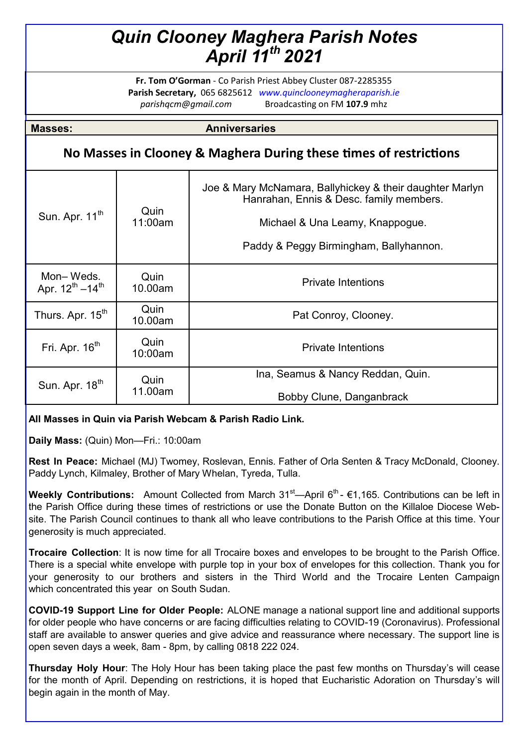# *Quin Clooney Maghera Parish Notes April 11th 2021*

**Fr. Tom O'Gorman** - Co Parish Priest Abbey Cluster 087-2285355 **Parish Secretary,** 065 6825612 *www.quinclooneymagheraparish.ie parishqcm@gmail.com* Broadcasting on FM **107.9** mhz

**Masses: Anniversaries** 

# **No Masses in Clooney & Maghera During these times of restrictions**

| Sun. Apr. 11 <sup>th</sup>            | Quin<br>11:00am | Joe & Mary McNamara, Ballyhickey & their daughter Marlyn<br>Hanrahan, Ennis & Desc. family members.<br>Michael & Una Leamy, Knappogue.<br>Paddy & Peggy Birmingham, Ballyhannon. |
|---------------------------------------|-----------------|----------------------------------------------------------------------------------------------------------------------------------------------------------------------------------|
| Mon-Weds.<br>Apr. $12^{th} - 14^{th}$ | Quin<br>10.00am | <b>Private Intentions</b>                                                                                                                                                        |
| Thurs. Apr. 15 <sup>th</sup>          | Quin<br>10.00am | Pat Conroy, Clooney.                                                                                                                                                             |
| Fri. Apr. 16 <sup>th</sup>            | Quin<br>10:00am | <b>Private Intentions</b>                                                                                                                                                        |
| Sun. Apr. 18 <sup>th</sup>            | Quin<br>11.00am | Ina, Seamus & Nancy Reddan, Quin.                                                                                                                                                |
|                                       |                 | Bobby Clune, Danganbrack                                                                                                                                                         |

## **All Masses in Quin via Parish Webcam & Parish Radio Link.**

**Daily Mass:** (Quin) Mon—Fri.: 10:00am

**Rest In Peace:** Michael (MJ) Twomey, Roslevan, Ennis. Father of Orla Senten & Tracy McDonald, Clooney. Paddy Lynch, Kilmaley, Brother of Mary Whelan, Tyreda, Tulla.

**Weekly Contributions:** Amount Collected from March 31<sup>st</sup>—April 6<sup>th</sup>- €1,165. Contributions can be left in the Parish Office during these times of restrictions or use the Donate Button on the Killaloe Diocese Website. The Parish Council continues to thank all who leave contributions to the Parish Office at this time. Your generosity is much appreciated.

**Trocaire Collection**: It is now time for all Trocaire boxes and envelopes to be brought to the Parish Office. There is a special white envelope with purple top in your box of envelopes for this collection. Thank you for your generosity to our brothers and sisters in the Third World and the Trocaire Lenten Campaign which concentrated this year on South Sudan.

**COVID-19 Support Line for Older People:** ALONE manage a national support line and additional supports for older people who have concerns or are facing difficulties relating to COVID-19 (Coronavirus). Professional staff are available to answer queries and give advice and reassurance where necessary. The support line is open seven days a week, 8am - 8pm, by calling 0818 222 024.

**Thursday Holy Hour**: The Holy Hour has been taking place the past few months on Thursday's will cease for the month of April. Depending on restrictions, it is hoped that Eucharistic Adoration on Thursday's will begin again in the month of May.